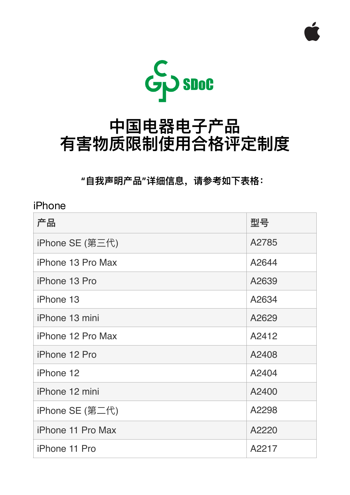

# **中国电器电⼦产品 有害物质限制使⽤合格评定制度**

**"⾃我声明产品"详细信息,请参考如下表格:**

#### iPhone

| 产品                    | 型号    |
|-----------------------|-------|
| iPhone SE (第三代)       | A2785 |
| iPhone 13 Pro Max     | A2644 |
| iPhone 13 Pro         | A2639 |
| iPhone 13             | A2634 |
| <i>iPhone</i> 13 mini | A2629 |
| iPhone 12 Pro Max     | A2412 |
| iPhone 12 Pro         | A2408 |
| iPhone 12             | A2404 |
| iPhone 12 mini        | A2400 |
| iPhone SE (第二代)       | A2298 |
| iPhone 11 Pro Max     | A2220 |
| iPhone 11 Pro         | A2217 |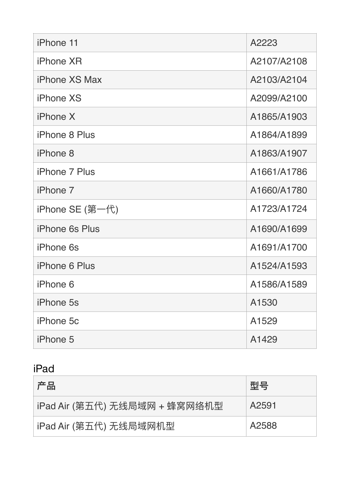| iPhone 11             | A2223       |
|-----------------------|-------------|
| <b>iPhone XR</b>      | A2107/A2108 |
| <i>iPhone XS Max</i>  | A2103/A2104 |
| <b>iPhone XS</b>      | A2099/A2100 |
| iPhone X              | A1865/A1903 |
| <b>iPhone 8 Plus</b>  | A1864/A1899 |
| iPhone 8              | A1863/A1907 |
| <b>iPhone 7 Plus</b>  | A1661/A1786 |
| iPhone 7              | A1660/A1780 |
| iPhone SE (第一代)       | A1723/A1724 |
| <b>iPhone 6s Plus</b> | A1690/A1699 |
| <b>iPhone 6s</b>      | A1691/A1700 |
| <b>iPhone 6 Plus</b>  | A1524/A1593 |
| iPhone 6              | A1586/A1589 |
| iPhone 5s             | A1530       |
| iPhone 5c             | A1529       |
| iPhone 5              | A1429       |

## iPad

| 产品                            | 型묵    |
|-------------------------------|-------|
| iPad Air (第五代) 无线局域网 + 蜂窝网络机型 | A2591 |
| iPad Air (第五代) 无线局域网机型        | A2588 |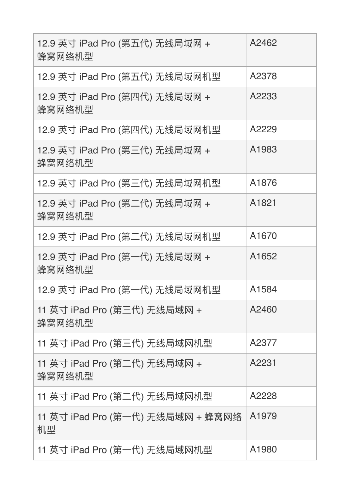| 蜂窝网络机型                         | A2462 |
|--------------------------------|-------|
| 12.9 英寸 iPad Pro (第五代) 无线局域网机型 | A2378 |
| 蜂窝网络机型                         | A2233 |
| 12.9 英寸 iPad Pro (第四代) 无线局域网机型 | A2229 |
| 蜂窝网络机型                         | A1983 |
| 12.9 英寸 iPad Pro (第三代) 无线局域网机型 | A1876 |
| 蜂窝网络机型                         | A1821 |
| 12.9 英寸 iPad Pro (第二代) 无线局域网机型 | A1670 |
| 蜂窝网络机型                         | A1652 |
| 12.9 英寸 iPad Pro (第一代) 无线局域网机型 | A1584 |
| 蜂窝网络机型                         | A2460 |
| 11 英寸 iPad Pro (第三代) 无线局域网机型   | A2377 |
| 蜂窝网络机型                         | A2231 |
| 11 英寸 iPad Pro (第二代) 无线局域网机型   | A2228 |
| 机型                             | A1979 |
| 11 英寸 iPad Pro (第一代) 无线局域网机型   | A1980 |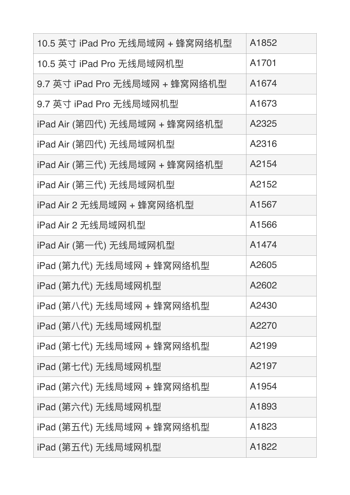| 10.5 英寸 iPad Pro 无线局域网 + 蜂窝网络机型 | A1852             |
|---------------------------------|-------------------|
| 10.5 英寸 iPad Pro 无线局域网机型        | A <sub>1701</sub> |
| 9.7 英寸 iPad Pro 无线局域网 + 蜂窝网络机型  | A1674             |
| 9.7 英寸 iPad Pro 无线局域网机型         | A <sub>1673</sub> |
| iPad Air (第四代) 无线局域网 + 蜂窝网络机型   | A2325             |
| iPad Air (第四代) 无线局域网机型          | A2316             |
| iPad Air (第三代) 无线局域网 + 蜂窝网络机型   | A2154             |
| iPad Air (第三代) 无线局域网机型          | A2152             |
| iPad Air 2 无线局域网 + 蜂窝网络机型       | A1567             |
| iPad Air 2 无线局域网机型              | A1566             |
| iPad Air (第一代) 无线局域网机型          | A1474             |
| iPad (第九代) 无线局域网 + 蜂窝网络机型       | A2605             |
| iPad (第九代) 无线局域网机型              | A2602             |
| iPad (第八代) 无线局域网 + 蜂窝网络机型       | A2430             |
| iPad (第八代) 无线局域网机型              | A2270             |
| iPad (第七代) 无线局域网 + 蜂窝网络机型       | A2199             |
| iPad (第七代) 无线局域网机型              | A2197             |
| iPad (第六代) 无线局域网 + 蜂窝网络机型       | A1954             |
| iPad (第六代) 无线局域网机型              | A1893             |
| iPad (第五代) 无线局域网 + 蜂窝网络机型       | A1823             |
| iPad (第五代) 无线局域网机型              | A1822             |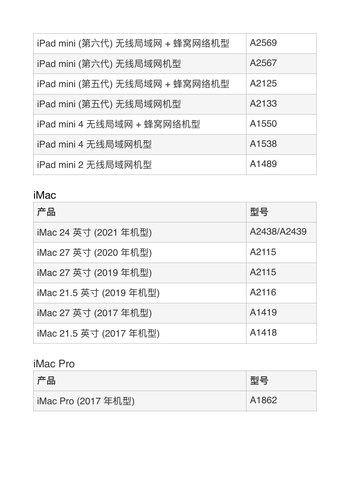| iPad mini (第六代) 无线局域网 + 蜂窝网络机型 | A2569             |
|--------------------------------|-------------------|
| iPad mini (第六代) 无线局域网机型        | A2567             |
| iPad mini (第五代) 无线局域网 + 蜂窝网络机型 | A2125             |
| iPad mini (第五代) 无线局域网机型        | A2133             |
| iPad mini 4 无线局域网 + 蜂窝网络机型     | A <sub>1550</sub> |
| iPad mini 4 无线局域网机型            | A1538             |
| iPad mini 2 无线局域网机型            | A1489             |

#### iMac

| 产品                      | 型묵          |
|-------------------------|-------------|
| iMac 24 英寸 (2021 年机型)   | A2438/A2439 |
| iMac 27 英寸 (2020 年机型)   | A2115       |
| iMac 27 英寸 (2019 年机型)   | A2115       |
| iMac 21.5 英寸 (2019 年机型) | A2116       |
| iMac 27 英寸 (2017 年机型)   | A1419       |
| iMac 21.5 英寸 (2017 年机型) | A1418       |

### iMac Pro

| 产品                  | <b>型号</b> |
|---------------------|-----------|
| iMac Pro (2017 年机型) | A1862     |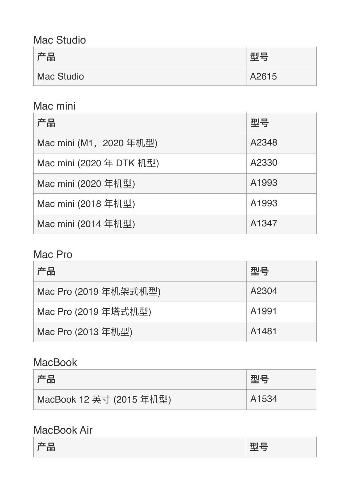#### Mac Studio

| 产品                |       |
|-------------------|-------|
| <b>Mac Studio</b> | A2615 |

#### Mac mini

| 产品                       | 型묵    |
|--------------------------|-------|
| Mac mini (M1, 2020年机型)   | A2348 |
| Mac mini (2020 年 DTK 机型) | A2330 |
| Mac mini (2020 年机型)      | A1993 |
| Mac mini (2018年机型)       | A1993 |
| Mac mini (2014 年机型)      | A1347 |

#### Mac Pro

| 产品                    | 型목                |
|-----------------------|-------------------|
| Mac Pro (2019 年机架式机型) | A2304             |
| Mac Pro (2019年塔式机型)   | A <sub>1991</sub> |
| Mac Pro (2013年机型)     | A <sub>1481</sub> |

#### MacBook

| 产品                         | 型号    |
|----------------------------|-------|
| 【MacBook 12 英寸 (2015 年机型)】 | A1534 |

#### MacBook Air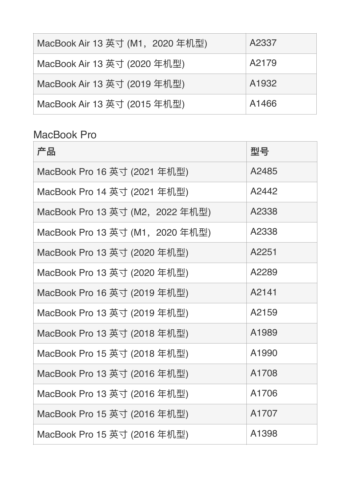| MacBook Air 13 英寸 (M1, 2020 年机型) | A2337 |
|----------------------------------|-------|
| MacBook Air 13 英寸 (2020 年机型)     | A2179 |
| MacBook Air 13 英寸 (2019 年机型)     | A1932 |
| MacBook Air 13 英寸 (2015 年机型)     | A1466 |

MacBook Pro

| 产品                               | 型号    |
|----------------------------------|-------|
| MacBook Pro 16 英寸 (2021 年机型)     | A2485 |
| MacBook Pro 14 英寸 (2021 年机型)     | A2442 |
| MacBook Pro 13 英寸 (M2, 2022 年机型) | A2338 |
| MacBook Pro 13 英寸 (M1, 2020 年机型) | A2338 |
| MacBook Pro 13 英寸 (2020 年机型)     | A2251 |
| MacBook Pro 13 英寸 (2020年机型)      | A2289 |
| MacBook Pro 16 英寸 (2019 年机型)     | A2141 |
| MacBook Pro 13 英寸 (2019 年机型)     | A2159 |
| MacBook Pro 13 英寸 (2018 年机型)     | A1989 |
| MacBook Pro 15 英寸 (2018 年机型)     | A1990 |
| MacBook Pro 13 英寸 (2016 年机型)     | A1708 |
| MacBook Pro 13 英寸 (2016 年机型)     | A1706 |
| MacBook Pro 15 英寸 (2016 年机型)     | A1707 |
| MacBook Pro 15 英寸 (2016 年机型)     | A1398 |